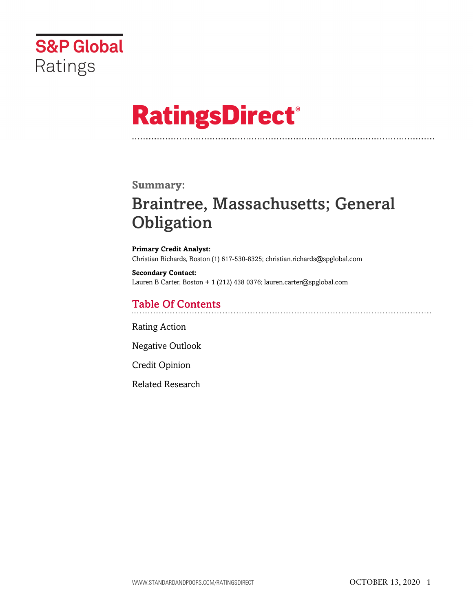

# **RatingsDirect®**

### **Summary:**

# Braintree, Massachusetts; General **Obligation**

**Primary Credit Analyst:** Christian Richards, Boston (1) 617-530-8325; christian.richards@spglobal.com

**Secondary Contact:** Lauren B Carter, Boston + 1 (212) 438 0376; lauren.carter@spglobal.com

## Table Of Contents

[Rating Action](#page-1-0)

[Negative Outlook](#page-2-0)

[Credit Opinion](#page-3-0)

[Related Research](#page-6-0)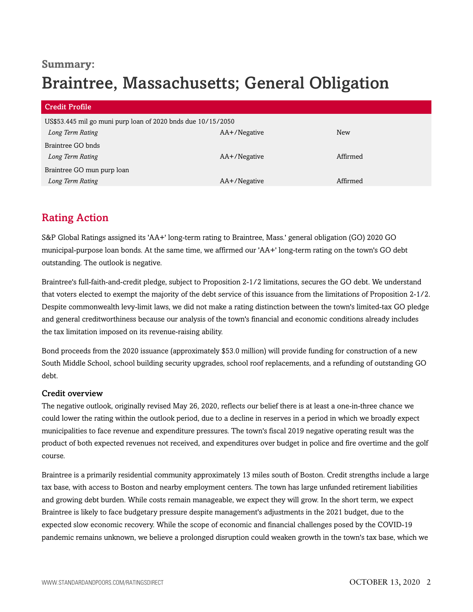# **Summary:** Braintree, Massachusetts; General Obligation

| Credit Profile                                               |              |          |
|--------------------------------------------------------------|--------------|----------|
| US\$53.445 mil go muni purp loan of 2020 bnds due 10/15/2050 |              |          |
| Long Term Rating                                             | AA+/Negative | New      |
| Braintree GO bnds                                            |              |          |
| Long Term Rating                                             | AA+/Negative | Affirmed |
| Braintree GO mun purp loan                                   |              |          |
| Long Term Rating                                             | AA+/Negative | Affirmed |

# <span id="page-1-0"></span>Rating Action

S&P Global Ratings assigned its 'AA+' long-term rating to Braintree, Mass.' general obligation (GO) 2020 GO municipal-purpose loan bonds. At the same time, we affirmed our 'AA+' long-term rating on the town's GO debt outstanding. The outlook is negative.

Braintree's full-faith-and-credit pledge, subject to Proposition 2-1/2 limitations, secures the GO debt. We understand that voters elected to exempt the majority of the debt service of this issuance from the limitations of Proposition 2-1/2. Despite commonwealth levy-limit laws, we did not make a rating distinction between the town's limited-tax GO pledge and general creditworthiness because our analysis of the town's financial and economic conditions already includes the tax limitation imposed on its revenue-raising ability.

Bond proceeds from the 2020 issuance (approximately \$53.0 million) will provide funding for construction of a new South Middle School, school building security upgrades, school roof replacements, and a refunding of outstanding GO debt.

#### Credit overview

The negative outlook, originally revised May 26, 2020, reflects our belief there is at least a one-in-three chance we could lower the rating within the outlook period, due to a decline in reserves in a period in which we broadly expect municipalities to face revenue and expenditure pressures. The town's fiscal 2019 negative operating result was the product of both expected revenues not received, and expenditures over budget in police and fire overtime and the golf course.

Braintree is a primarily residential community approximately 13 miles south of Boston. Credit strengths include a large tax base, with access to Boston and nearby employment centers. The town has large unfunded retirement liabilities and growing debt burden. While costs remain manageable, we expect they will grow. In the short term, we expect Braintree is likely to face budgetary pressure despite management's adjustments in the 2021 budget, due to the expected slow economic recovery. While the scope of economic and financial challenges posed by the COVID-19 pandemic remains unknown, we believe a prolonged disruption could weaken growth in the town's tax base, which we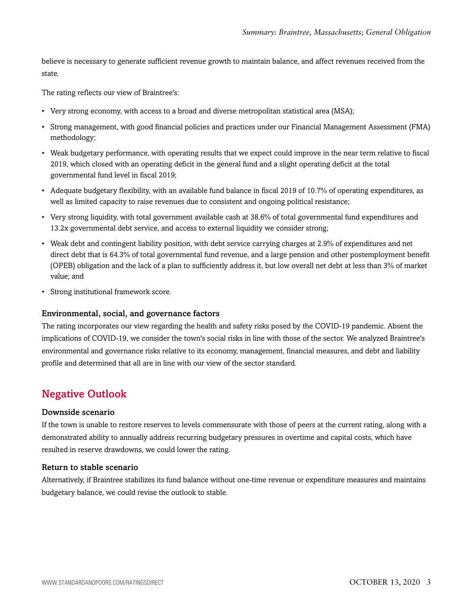believe is necessary to generate sufficient revenue growth to maintain balance, and affect revenues received from the state.

The rating reflects our view of Braintree's:

- Very strong economy, with access to a broad and diverse metropolitan statistical area (MSA);
- Strong management, with good financial policies and practices under our Financial Management Assessment (FMA) methodology;
- Weak budgetary performance, with operating results that we expect could improve in the near term relative to fiscal 2019, which closed with an operating deficit in the general fund and a slight operating deficit at the total governmental fund level in fiscal 2019;
- Adequate budgetary flexibility, with an available fund balance in fiscal 2019 of 10.7% of operating expenditures, as well as limited capacity to raise revenues due to consistent and ongoing political resistance;
- Very strong liquidity, with total government available cash at 38.6% of total governmental fund expenditures and 13.2x governmental debt service, and access to external liquidity we consider strong;
- Weak debt and contingent liability position, with debt service carrying charges at 2.9% of expenditures and net direct debt that is 64.3% of total governmental fund revenue, and a large pension and other postemployment benefit (OPEB) obligation and the lack of a plan to sufficiently address it, but low overall net debt at less than 3% of market value; and
- Strong institutional framework score.

#### Environmental, social, and governance factors

The rating incorporates our view regarding the health and safety risks posed by the COVID-19 pandemic. Absent the implications of COVID-19, we consider the town's social risks in line with those of the sector. We analyzed Braintree's environmental and governance risks relative to its economy, management, financial measures, and debt and liability profile and determined that all are in line with our view of the sector standard.

# <span id="page-2-0"></span>Negative Outlook

#### Downside scenario

If the town is unable to restore reserves to levels commensurate with those of peers at the current rating, along with a demonstrated ability to annually address recurring budgetary pressures in overtime and capital costs, which have resulted in reserve drawdowns, we could lower the rating.

#### Return to stable scenario

Alternatively, if Braintree stabilizes its fund balance without one-time revenue or expenditure measures and maintains budgetary balance, we could revise the outlook to stable.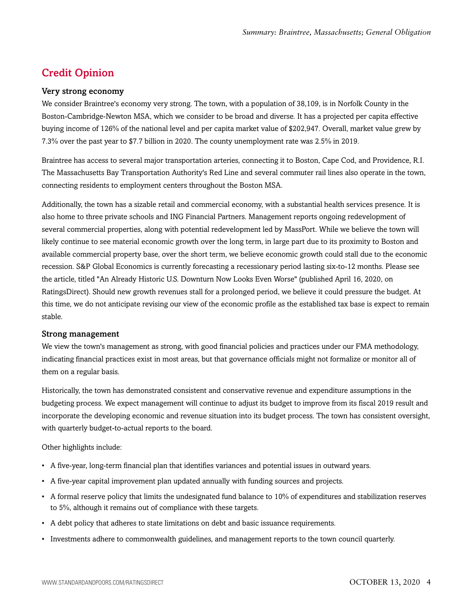# <span id="page-3-0"></span>Credit Opinion

#### Very strong economy

We consider Braintree's economy very strong. The town, with a population of 38,109, is in Norfolk County in the Boston-Cambridge-Newton MSA, which we consider to be broad and diverse. It has a projected per capita effective buying income of 126% of the national level and per capita market value of \$202,947. Overall, market value grew by 7.3% over the past year to \$7.7 billion in 2020. The county unemployment rate was 2.5% in 2019.

Braintree has access to several major transportation arteries, connecting it to Boston, Cape Cod, and Providence, R.I. The Massachusetts Bay Transportation Authority's Red Line and several commuter rail lines also operate in the town, connecting residents to employment centers throughout the Boston MSA.

Additionally, the town has a sizable retail and commercial economy, with a substantial health services presence. It is also home to three private schools and ING Financial Partners. Management reports ongoing redevelopment of several commercial properties, along with potential redevelopment led by MassPort. While we believe the town will likely continue to see material economic growth over the long term, in large part due to its proximity to Boston and available commercial property base, over the short term, we believe economic growth could stall due to the economic recession. S&P Global Economics is currently forecasting a recessionary period lasting six-to-12 months. Please see the article, titled "An Already Historic U.S. Downturn Now Looks Even Worse" (published April 16, 2020, on RatingsDirect). Should new growth revenues stall for a prolonged period, we believe it could pressure the budget. At this time, we do not anticipate revising our view of the economic profile as the established tax base is expect to remain stable.

#### Strong management

We view the town's management as strong, with good financial policies and practices under our FMA methodology, indicating financial practices exist in most areas, but that governance officials might not formalize or monitor all of them on a regular basis.

Historically, the town has demonstrated consistent and conservative revenue and expenditure assumptions in the budgeting process. We expect management will continue to adjust its budget to improve from its fiscal 2019 result and incorporate the developing economic and revenue situation into its budget process. The town has consistent oversight, with quarterly budget-to-actual reports to the board.

#### Other highlights include:

- A five-year, long-term financial plan that identifies variances and potential issues in outward years.
- A five-year capital improvement plan updated annually with funding sources and projects.
- A formal reserve policy that limits the undesignated fund balance to 10% of expenditures and stabilization reserves to 5%, although it remains out of compliance with these targets.
- A debt policy that adheres to state limitations on debt and basic issuance requirements.
- Investments adhere to commonwealth guidelines, and management reports to the town council quarterly.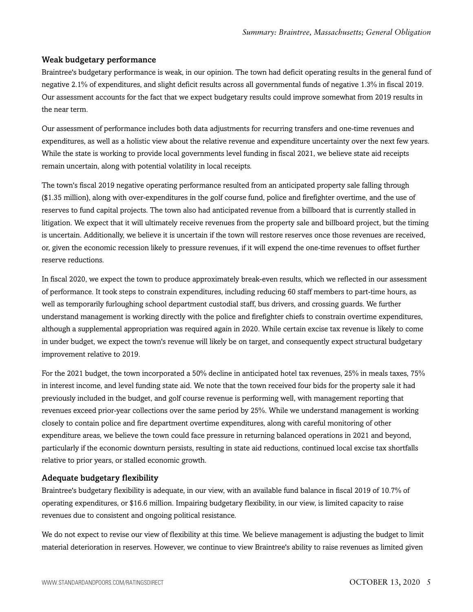#### Weak budgetary performance

Braintree's budgetary performance is weak, in our opinion. The town had deficit operating results in the general fund of negative 2.1% of expenditures, and slight deficit results across all governmental funds of negative 1.3% in fiscal 2019. Our assessment accounts for the fact that we expect budgetary results could improve somewhat from 2019 results in the near term.

Our assessment of performance includes both data adjustments for recurring transfers and one-time revenues and expenditures, as well as a holistic view about the relative revenue and expenditure uncertainty over the next few years. While the state is working to provide local governments level funding in fiscal 2021, we believe state aid receipts remain uncertain, along with potential volatility in local receipts.

The town's fiscal 2019 negative operating performance resulted from an anticipated property sale falling through (\$1.35 million), along with over-expenditures in the golf course fund, police and firefighter overtime, and the use of reserves to fund capital projects. The town also had anticipated revenue from a billboard that is currently stalled in litigation. We expect that it will ultimately receive revenues from the property sale and billboard project, but the timing is uncertain. Additionally, we believe it is uncertain if the town will restore reserves once those revenues are received, or, given the economic recession likely to pressure revenues, if it will expend the one-time revenues to offset further reserve reductions.

In fiscal 2020, we expect the town to produce approximately break-even results, which we reflected in our assessment of performance. It took steps to constrain expenditures, including reducing 60 staff members to part-time hours, as well as temporarily furloughing school department custodial staff, bus drivers, and crossing guards. We further understand management is working directly with the police and firefighter chiefs to constrain overtime expenditures, although a supplemental appropriation was required again in 2020. While certain excise tax revenue is likely to come in under budget, we expect the town's revenue will likely be on target, and consequently expect structural budgetary improvement relative to 2019.

For the 2021 budget, the town incorporated a 50% decline in anticipated hotel tax revenues, 25% in meals taxes, 75% in interest income, and level funding state aid. We note that the town received four bids for the property sale it had previously included in the budget, and golf course revenue is performing well, with management reporting that revenues exceed prior-year collections over the same period by 25%. While we understand management is working closely to contain police and fire department overtime expenditures, along with careful monitoring of other expenditure areas, we believe the town could face pressure in returning balanced operations in 2021 and beyond, particularly if the economic downturn persists, resulting in state aid reductions, continued local excise tax shortfalls relative to prior years, or stalled economic growth.

#### Adequate budgetary flexibility

Braintree's budgetary flexibility is adequate, in our view, with an available fund balance in fiscal 2019 of 10.7% of operating expenditures, or \$16.6 million. Impairing budgetary flexibility, in our view, is limited capacity to raise revenues due to consistent and ongoing political resistance.

We do not expect to revise our view of flexibility at this time. We believe management is adjusting the budget to limit material deterioration in reserves. However, we continue to view Braintree's ability to raise revenues as limited given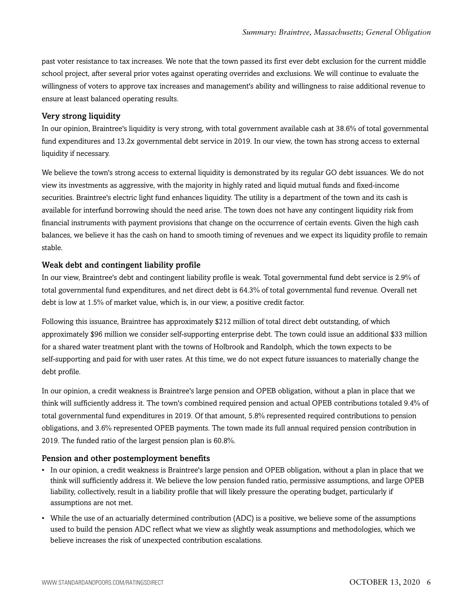past voter resistance to tax increases. We note that the town passed its first ever debt exclusion for the current middle school project, after several prior votes against operating overrides and exclusions. We will continue to evaluate the willingness of voters to approve tax increases and management's ability and willingness to raise additional revenue to ensure at least balanced operating results.

#### Very strong liquidity

In our opinion, Braintree's liquidity is very strong, with total government available cash at 38.6% of total governmental fund expenditures and 13.2x governmental debt service in 2019. In our view, the town has strong access to external liquidity if necessary.

We believe the town's strong access to external liquidity is demonstrated by its regular GO debt issuances. We do not view its investments as aggressive, with the majority in highly rated and liquid mutual funds and fixed-income securities. Braintree's electric light fund enhances liquidity. The utility is a department of the town and its cash is available for interfund borrowing should the need arise. The town does not have any contingent liquidity risk from financial instruments with payment provisions that change on the occurrence of certain events. Given the high cash balances, we believe it has the cash on hand to smooth timing of revenues and we expect its liquidity profile to remain stable.

#### Weak debt and contingent liability profile

In our view, Braintree's debt and contingent liability profile is weak. Total governmental fund debt service is 2.9% of total governmental fund expenditures, and net direct debt is 64.3% of total governmental fund revenue. Overall net debt is low at 1.5% of market value, which is, in our view, a positive credit factor.

Following this issuance, Braintree has approximately \$212 million of total direct debt outstanding, of which approximately \$96 million we consider self-supporting enterprise debt. The town could issue an additional \$33 million for a shared water treatment plant with the towns of Holbrook and Randolph, which the town expects to be self-supporting and paid for with user rates. At this time, we do not expect future issuances to materially change the debt profile.

In our opinion, a credit weakness is Braintree's large pension and OPEB obligation, without a plan in place that we think will sufficiently address it. The town's combined required pension and actual OPEB contributions totaled 9.4% of total governmental fund expenditures in 2019. Of that amount, 5.8% represented required contributions to pension obligations, and 3.6% represented OPEB payments. The town made its full annual required pension contribution in 2019. The funded ratio of the largest pension plan is 60.8%.

#### Pension and other postemployment benefits

- In our opinion, a credit weakness is Braintree's large pension and OPEB obligation, without a plan in place that we think will sufficiently address it. We believe the low pension funded ratio, permissive assumptions, and large OPEB liability, collectively, result in a liability profile that will likely pressure the operating budget, particularly if assumptions are not met.
- While the use of an actuarially determined contribution (ADC) is a positive, we believe some of the assumptions used to build the pension ADC reflect what we view as slightly weak assumptions and methodologies, which we believe increases the risk of unexpected contribution escalations.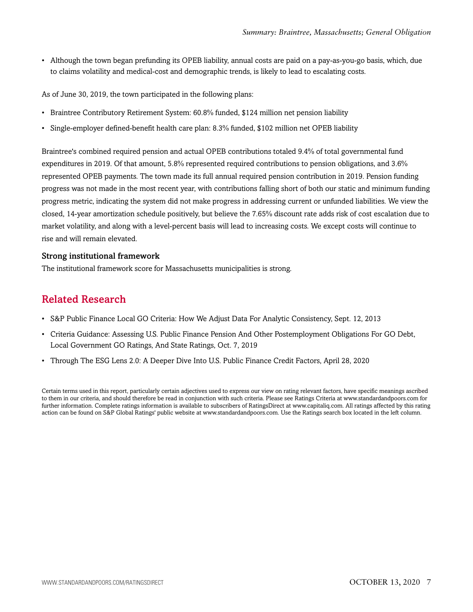• Although the town began prefunding its OPEB liability, annual costs are paid on a pay-as-you-go basis, which, due to claims volatility and medical-cost and demographic trends, is likely to lead to escalating costs.

As of June 30, 2019, the town participated in the following plans:

- Braintree Contributory Retirement System: 60.8% funded, \$124 million net pension liability
- Single-employer defined-benefit health care plan: 8.3% funded, \$102 million net OPEB liability

Braintree's combined required pension and actual OPEB contributions totaled 9.4% of total governmental fund expenditures in 2019. Of that amount, 5.8% represented required contributions to pension obligations, and 3.6% represented OPEB payments. The town made its full annual required pension contribution in 2019. Pension funding progress was not made in the most recent year, with contributions falling short of both our static and minimum funding progress metric, indicating the system did not make progress in addressing current or unfunded liabilities. We view the closed, 14-year amortization schedule positively, but believe the 7.65% discount rate adds risk of cost escalation due to market volatility, and along with a level-percent basis will lead to increasing costs. We except costs will continue to rise and will remain elevated.

#### Strong institutional framework

<span id="page-6-0"></span>The institutional framework score for Massachusetts municipalities is strong.

### Related Research

- S&P Public Finance Local GO Criteria: How We Adjust Data For Analytic Consistency, Sept. 12, 2013
- Criteria Guidance: Assessing U.S. Public Finance Pension And Other Postemployment Obligations For GO Debt, Local Government GO Ratings, And State Ratings, Oct. 7, 2019
- Through The ESG Lens 2.0: A Deeper Dive Into U.S. Public Finance Credit Factors, April 28, 2020

Certain terms used in this report, particularly certain adjectives used to express our view on rating relevant factors, have specific meanings ascribed to them in our criteria, and should therefore be read in conjunction with such criteria. Please see Ratings Criteria at www.standardandpoors.com for further information. Complete ratings information is available to subscribers of RatingsDirect at www.capitaliq.com. All ratings affected by this rating action can be found on S&P Global Ratings' public website at www.standardandpoors.com. Use the Ratings search box located in the left column.